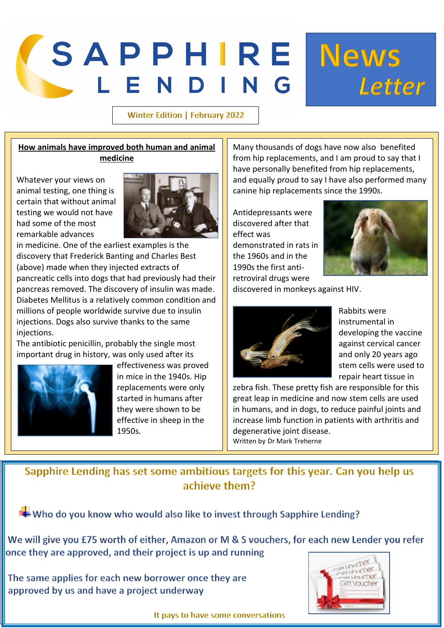# *SAPPHIRE* **News** LEN

#### **Winter Edition | February 2022**

### **How animals have improved both human and animal medicine**

Whatever your views on animal testing, one thing is certain that without animal testing we would not have had some of the most remarkable advances



in medicine. One of the earliest examples is the discovery that Frederick Banting and Charles Best (above) made when they injected extracts of pancreatic cells into dogs that had previously had their pancreas removed. The discovery of insulin was made. Diabetes Mellitus is a relatively common condition and millions of people worldwide survive due to insulin injections. Dogs also survive thanks to the same injections.

The antibiotic penicillin, probably the single most important drug in history, was only used after its



effectiveness was proved in mice in the 1940s. Hip replacements were only started in humans after they were shown to be effective in sheep in the 1950s.

Many thousands of dogs have now also benefited from hip replacements, and I am proud to say that I have personally benefited from hip replacements, and equally proud to say I have also performed many canine hip replacements since the 1990s.

Antidepressants were discovered after that effect was demonstrated in rats in the 1960s and in the 1990s the first antiretroviral drugs were



Letter

discovered in monkeys against HIV.



Rabbits were instrumental in developing the vaccine against cervical cancer and only 20 years ago stem cells were used to repair heart tissue in

zebra fish. These pretty fish are responsible for this great leap in medicine and now stem cells are used in humans, and in dogs, to reduce painful joints and increase limb function in patients with arthritis and degenerative joint disease. Written by Dr Mark Treherne

Sapphire Lending has set some ambitious targets for this year. Can you help us achieve them?

Who do you know who would also like to invest through Sapphire Lending?

We will give you £75 worth of either, Amazon or M & S vouchers, for each new Lender you refer once they are approved, and their project is up and running

The same applies for each new borrower once they are approved by us and have a project underway